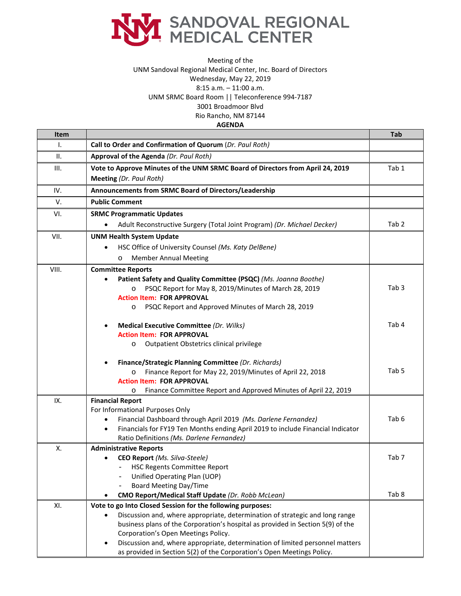

## Meeting of the UNM Sandoval Regional Medical Center, Inc. Board of Directors Wednesday, May 22, 2019 8:15 a.m. – 11:00 a.m. UNM SRMC Board Room || Teleconference 994-7187 3001 Broadmoor Blvd Rio Rancho, NM 87144 **AGENDA**

## **Item Tab** I. **Call to Order and Confirmation of Quorum** (*Dr. Paul Roth)* II. **Approval of the Agenda** *(Dr. Paul Roth)* III. **Vote to Approve Minutes of the UNM SRMC Board of Directors from April 24, 2019 Meeting** *(Dr. Paul Roth)* Tab 1 IV. **Announcements from SRMC Board of Directors/Leadership** V. **Public Comment** VI. **SRMC Programmatic Updates** • Adult Reconstructive Surgery (Total Joint Program) *(Dr. Michael Decker)* Tab 2 VII. **UNM Health System Update** • HSC Office of University Counsel *(Ms. Katy DelBene)* o Member Annual Meeting VIII. **Committee Reports** • **Patient Safety and Quality Committee (PSQC)** *(Ms. Joanna Boothe)* o PSQC Report for May 8, 2019/Minutes of March 28, 2019 **Action Item: FOR APPROVAL** o PSQC Report and Approved Minutes of March 28, 2019 • **Medical Executive Committee** *(Dr. Wilks)* **Action Item: FOR APPROVAL**  o Outpatient Obstetrics clinical privilege • **Finance/Strategic Planning Committee** *(Dr. Richards)* o Finance Report for May 22, 2019/Minutes of April 22, 2018 **Action Item: FOR APPROVAL** o Finance Committee Report and Approved Minutes of April 22, 2019 Tab 3 Tab 4 Tab 5 IX. **Financial Report**  For Informational Purposes Only • Financial Dashboard through April 2019 *(Ms. Darlene Fernandez)* • Financials for FY19 Ten Months ending April 2019 to include Financial Indicator Ratio Definitions *(Ms. Darlene Fernandez)* Tab 6 X. **Administrative Reports** • **CEO Report** *(Ms. Silva-Steele)* HSC Regents Committee Report - Unified Operating Plan (UOP) - Board Meeting Day/Time • **CMO Report/Medical Staff Update** *(Dr. Robb McLean)* Tab 7 Tab 8 XI. **Vote to go Into Closed Session for the following purposes:** • Discussion and, where appropriate, determination of strategic and long range business plans of the Corporation's hospital as provided in Section 5(9) of the Corporation's Open Meetings Policy. • Discussion and, where appropriate, determination of limited personnel matters

as provided in Section 5(2) of the Corporation's Open Meetings Policy.